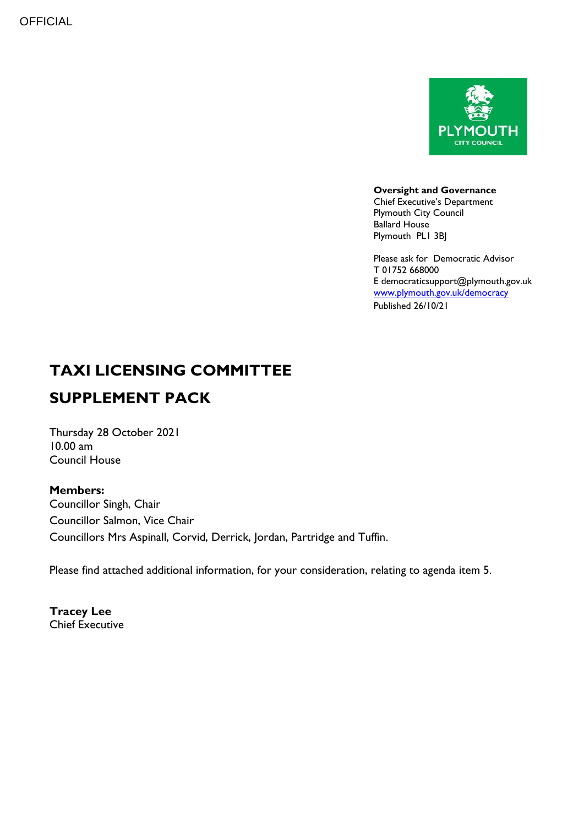

**Oversight and Governance**

Chief Executive's Department Plymouth City Council Ballard House Plymouth PL1 3BJ

Please ask for Democratic Advisor T 01752 668000 E democraticsupport@plymouth.gov.uk [www.plymouth.gov.uk/](http://www.plymouth.gov.uk/)democracy Published 26/10/21

## **TAXI LICENSING COMMITTEE SUPPLEMENT PACK**

Thursday 28 October 2021  $10.00$  am Council House

**Members:** Councillor Singh, Chair Councillor Salmon, Vice Chair Councillors Mrs Aspinall, Corvid, Derrick, Jordan, Partridge and Tuffin.

Please find attached additional information, for your consideration, relating to agenda item 5.

**Tracey Lee** Chief Executive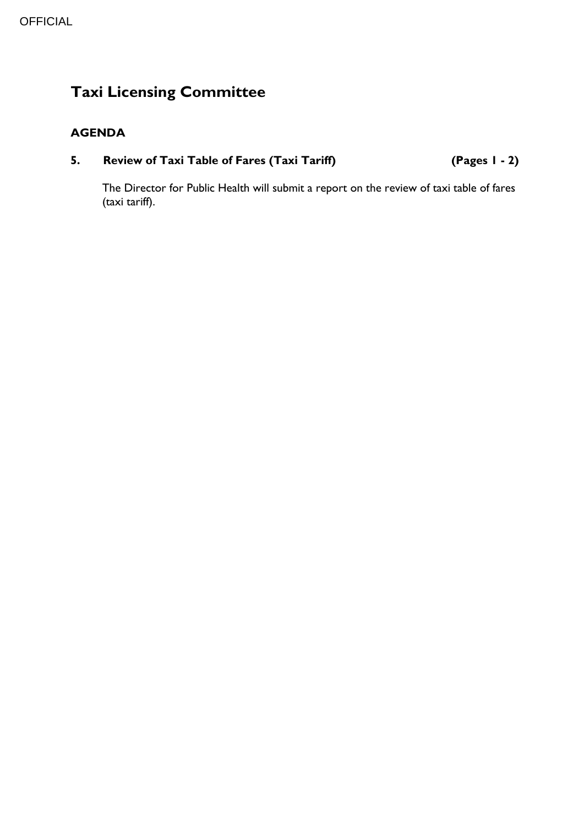## **Taxi Licensing Committee**

#### **AGENDA**

### **5. Review of Taxi Table of Fares (Taxi Tariff) (Pages 1 - 2)**

The Director for Public Health will submit a report on the review of taxi table of fares (taxi tariff).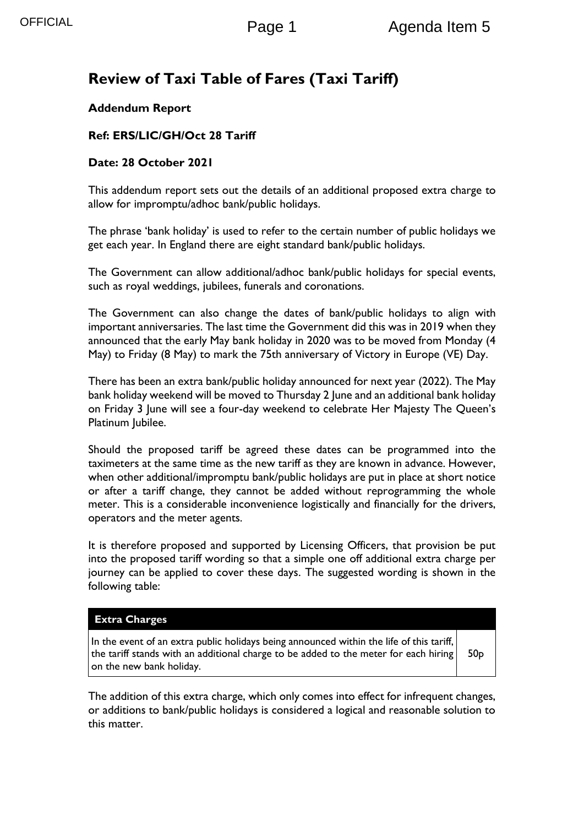### **Review of Taxi Table of Fares (Taxi Tariff)**

#### **Addendum Report**

#### **Ref: ERS/LIC/GH/Oct 28 Tariff**

#### **Date: 28 October 2021**

This addendum report sets out the details of an additional proposed extra charge to allow for impromptu/adhoc bank/public holidays.

The phrase 'bank holiday' is used to refer to the certain number of public holidays we get each year. In England there are eight standard bank/public holidays.

The Government can allow additional/adhoc bank/public holidays for special events, such as royal weddings, jubilees, funerals and coronations.

The Government can also change the dates of bank/public holidays to align with important anniversaries. The last time the Government did this was in 2019 when they announced that the early May bank holiday in 2020 was to be moved from Monday (4 May) to Friday (8 May) to mark the 75th anniversary of Victory in Europe (VE) Day.

There has been an extra bank/public holiday announced for next year (2022). The May bank holiday weekend will be moved to Thursday 2 June and an additional bank holiday on Friday 3 June will see a four-day weekend to celebrate Her Majesty The Queen's Platinum Jubilee.

Should the proposed tariff be agreed these dates can be programmed into the taximeters at the same time as the new tariff as they are known in advance. However, when other additional/impromptu bank/public holidays are put in place at short notice or after a tariff change, they cannot be added without reprogramming the whole meter. This is a considerable inconvenience logistically and financially for the drivers, operators and the meter agents.

It is therefore proposed and supported by Licensing Officers, that provision be put into the proposed tariff wording so that a simple one off additional extra charge per journey can be applied to cover these days. The suggested wording is shown in the following table:

#### **Extra Charges**

In the event of an extra public holidays being announced within the life of this tariff, the tariff stands with an additional charge to be added to the meter for each hiring on the new bank holiday.

50p

The addition of this extra charge, which only comes into effect for infrequent changes, or additions to bank/public holidays is considered a logical and reasonable solution to this matter.